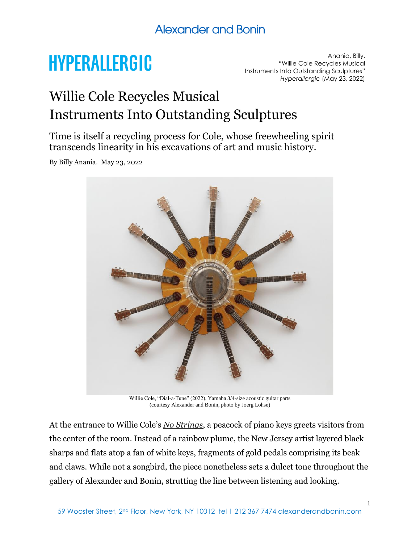# **HYPERALLERGIC**

Anania, Billy. "Willie Cole Recycles Musical Instruments Into Outstanding Sculptures" *Hyperallergic* (May 23, 2022)

# Willie Cole Recycles Musical Instruments Into Outstanding Sculptures

Time is itself a recycling process for Cole, whose freewheeling spirit transcends linearity in his excavations of art and music history.

By Billy Anania. May 23, 2022



Willie Cole, "Dial-a-Tune" (2022), Yamaha 3/4-size acoustic guitar parts (courtesy Alexander and Bonin, photo by Joerg Lohse)

At the entrance to Willie Cole's *[No Strings](https://www.alexanderandbonin.com/exhibition/323/)*, a peacock of piano keys greets visitors from the center of the room. Instead of a rainbow plume, the New Jersey artist layered black sharps and flats atop a fan of white keys, fragments of gold pedals comprising its beak and claws. While not a songbird, the piece nonetheless sets a dulcet tone throughout the gallery of Alexander and Bonin, strutting the line between listening and looking.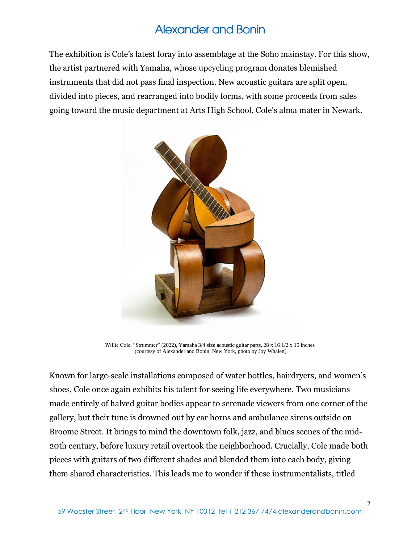The exhibition is Cole's latest foray into assemblage at the Soho mainstay. For this show, the artist partnered with Yamaha, whose [upcycling program](https://www.musicincmag.com/news/detail/yamaha-cares-upcycle-program-turns-musical-instruments-into-works-of-art) donates blemished instruments that did not pass final inspection. New acoustic guitars are split open, divided into pieces, and rearranged into bodily forms, with some proceeds from sales going toward the music department at Arts High School, Cole's alma mater in Newark.



Willie Cole, "Strummer" (2022), Yamaha 3/4 size acoustic guitar parts, 28 x 16 1/2 x 15 inches (courtesy of Alexander and Bonin, New York, photo by Joy Whalen)

Known for large-scale installations composed of water bottles, hairdryers, and women's shoes, Cole once again exhibits his talent for seeing life everywhere. Two musicians made entirely of halved guitar bodies appear to serenade viewers from one corner of the gallery, but their tune is drowned out by car horns and ambulance sirens outside on Broome Street. It brings to mind the downtown folk, jazz, and blues scenes of the mid-20th century, before luxury retail overtook the neighborhood. Crucially, Cole made both pieces with guitars of two different shades and blended them into each body, giving them shared characteristics. This leads me to wonder if these instrumentalists, titled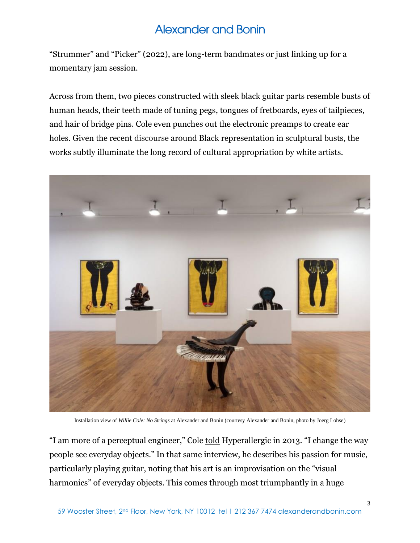"Strummer" and "Picker" (2022), are long-term bandmates or just linking up for a momentary jam session.

Across from them, two pieces constructed with sleek black guitar parts resemble busts of human heads, their teeth made of tuning pegs, tongues of fretboards, eyes of tailpieces, and hair of bridge pins. Cole even punches out the electronic preamps to create ear holes. Given the recent [discourse](https://www.smithsonianmag.com/smart-news/met-sculpture-jean-baptiste-carpeaux-black-woman-enslaved-180979727/) around Black representation in sculptural busts, the works subtly illuminate the long record of cultural appropriation by white artists.



Installation view of *Willie Cole: No Strings* at Alexander and Bonin (courtesy Alexander and Bonin, photo by Joerg Lohse)

"I am more of a perceptual engineer," Cole [told](https://hyperallergic.com/69962/upcycled-a-conversation-with-willie-cole/) Hyperallergic in 2013. "I change the way people see everyday objects." In that same interview, he describes his passion for music, particularly playing guitar, noting that his art is an improvisation on the "visual harmonics" of everyday objects. This comes through most triumphantly in a huge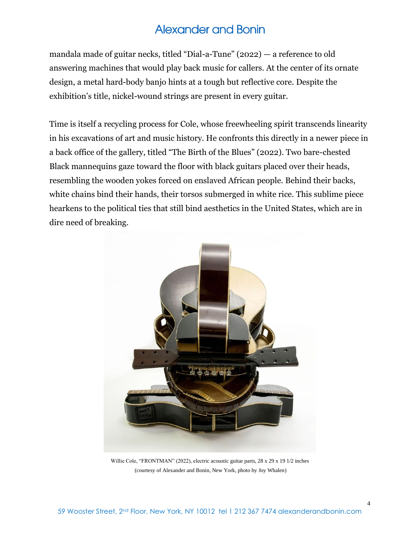mandala made of guitar necks, titled "Dial-a-Tune" (2022) — a reference to old answering machines that would play back music for callers. At the center of its ornate design, a metal hard-body banjo hints at a tough but reflective core. Despite the exhibition's title, nickel-wound strings are present in every guitar.

Time is itself a recycling process for Cole, whose freewheeling spirit transcends linearity in his excavations of art and music history. He confronts this directly in a newer piece in a back office of the gallery, titled "The Birth of the Blues" (2022). Two bare-chested Black mannequins gaze toward the floor with black guitars placed over their heads, resembling the wooden yokes forced on enslaved African people. Behind their backs, white chains bind their hands, their torsos submerged in white rice. This sublime piece hearkens to the political ties that still bind aesthetics in the United States, which are in dire need of breaking.



Willie Cole, "FRONTMAN" (2022), electric acoustic guitar parts, 28 x 29 x 19 1/2 inches (courtesy of Alexander and Bonin, New York, photo by Joy Whalen)

4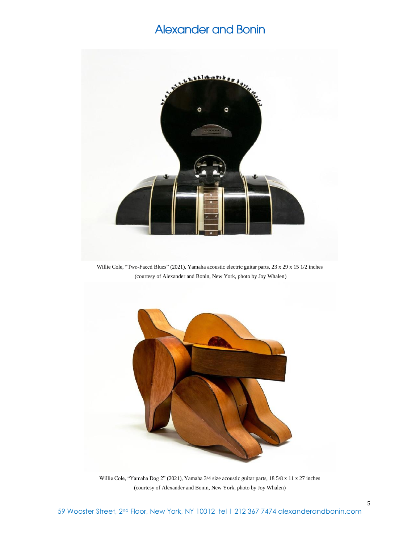

Willie Cole, "Two-Faced Blues" (2021), Yamaha acoustic electric guitar parts, 23 x 29 x 15 1/2 inches (courtesy of Alexander and Bonin, New York, photo by Joy Whalen)



Willie Cole, "Yamaha Dog 2" (2021), Yamaha 3/4 size acoustic guitar parts, 18 5/8 x 11 x 27 inches (courtesy of Alexander and Bonin, New York, photo by Joy Whalen)